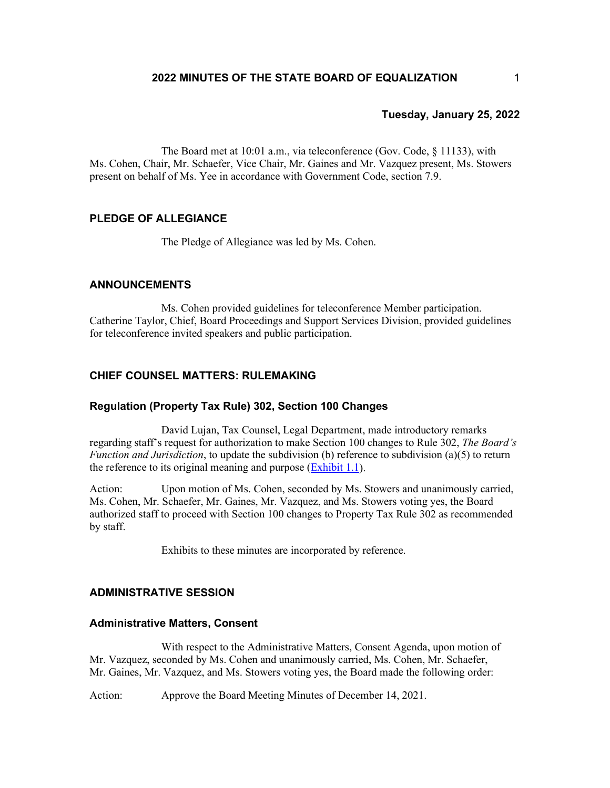The Board met at 10:01 a.m., via teleconference (Gov. Code, § 11133), with Ms. Cohen, Chair, Mr. Schaefer, Vice Chair, Mr. Gaines and Mr. Vazquez present, Ms. Stowers present on behalf of Ms. Yee in accordance with Government Code, section 7.9.

# **PLEDGE OF ALLEGIANCE**

The Pledge of Allegiance was led by Ms. Cohen.

## **ANNOUNCEMENTS**

Ms. Cohen provided guidelines for teleconference Member participation. Catherine Taylor, Chief, Board Proceedings and Support Services Division, provided guidelines for teleconference invited speakers and public participation.

## **CHIEF COUNSEL MATTERS: RULEMAKING**

### **Regulation (Property Tax Rule) 302, Section 100 Changes**

David Lujan, Tax Counsel, Legal Department, made introductory remarks regarding staff's request for authorization to make Section 100 changes to Rule 302, *The Board's Function and Jurisdiction*, to update the subdivision (b) reference to subdivision (a)(5) to return the reference to its original meaning and purpose [\(Exhibit 1.1\)](https://www.boe.ca.gov/meetings/pdf/2022/012522-G1-Rule302.pdf).

Action: Upon motion of Ms. Cohen, seconded by Ms. Stowers and unanimously carried, Ms. Cohen, Mr. Schaefer, Mr. Gaines, Mr. Vazquez, and Ms. Stowers voting yes, the Board authorized staff to proceed with Section 100 changes to Property Tax Rule 302 as recommended by staff.

Exhibits to these minutes are incorporated by reference.

#### **ADMINISTRATIVE SESSION**

#### **Administrative Matters, Consent**

With respect to the Administrative Matters, Consent Agenda, upon motion of Mr. Vazquez, seconded by Ms. Cohen and unanimously carried, Ms. Cohen, Mr. Schaefer, Mr. Gaines, Mr. Vazquez, and Ms. Stowers voting yes, the Board made the following order:

Action: Approve the Board Meeting Minutes of December 14, 2021.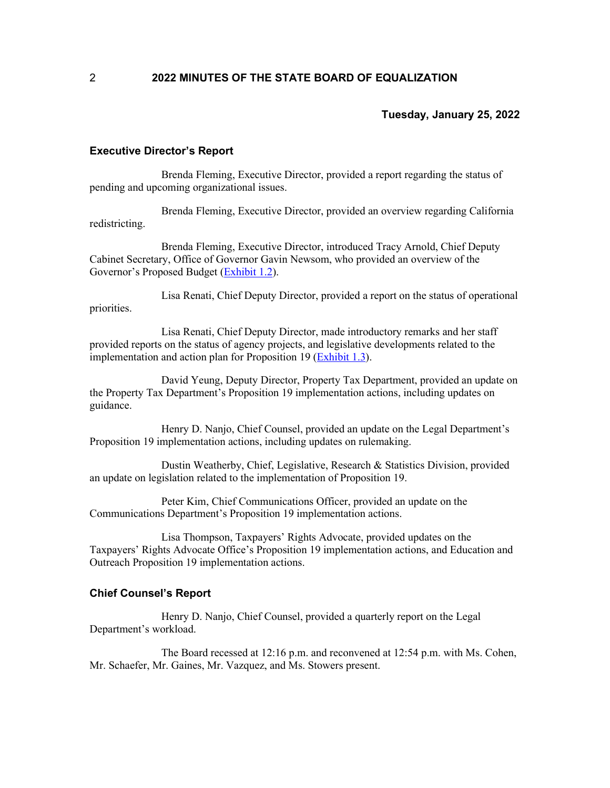#### **Executive Director's Report**

Brenda Fleming, Executive Director, provided a report regarding the status of pending and upcoming organizational issues.

Brenda Fleming, Executive Director, provided an overview regarding California redistricting.

Brenda Fleming, Executive Director, introduced Tracy Arnold, Chief Deputy Cabinet Secretary, Office of Governor Gavin Newsom, who provided an overview of the Governor's Proposed Budget [\(Exhibit](https://boe.ca.gov/meetings/pdf/2022/012522-K1b-Budget-Slides.pdf) 1.2).

Lisa Renati, Chief Deputy Director, provided a report on the status of operational priorities.

Lisa Renati, Chief Deputy Director, made introductory remarks and her staff provided reports on the status of agency projects, and legislative developments related to the implementation and action plan for Proposition 19 [\(Exhibit](https://www.boe.ca.gov/meetings/pdf/2022/012522-K1e-Prop19-Implement-Plan.pdf) 1.3).

David Yeung, Deputy Director, Property Tax Department, provided an update on the Property Tax Department's Proposition 19 implementation actions, including updates on guidance.

Henry D. Nanjo, Chief Counsel, provided an update on the Legal Department's Proposition 19 implementation actions, including updates on rulemaking.

Dustin Weatherby, Chief, Legislative, Research & Statistics Division, provided an update on legislation related to the implementation of Proposition 19.

Peter Kim, Chief Communications Officer, provided an update on the Communications Department's Proposition 19 implementation actions.

Lisa Thompson, Taxpayers' Rights Advocate, provided updates on the Taxpayers' Rights Advocate Office's Proposition 19 implementation actions, and Education and Outreach Proposition 19 implementation actions.

## **Chief Counsel's Report**

Henry D. Nanjo, Chief Counsel, provided a quarterly report on the Legal Department's workload.

The Board recessed at 12:16 p.m. and reconvened at 12:54 p.m. with Ms. Cohen, Mr. Schaefer, Mr. Gaines, Mr. Vazquez, and Ms. Stowers present.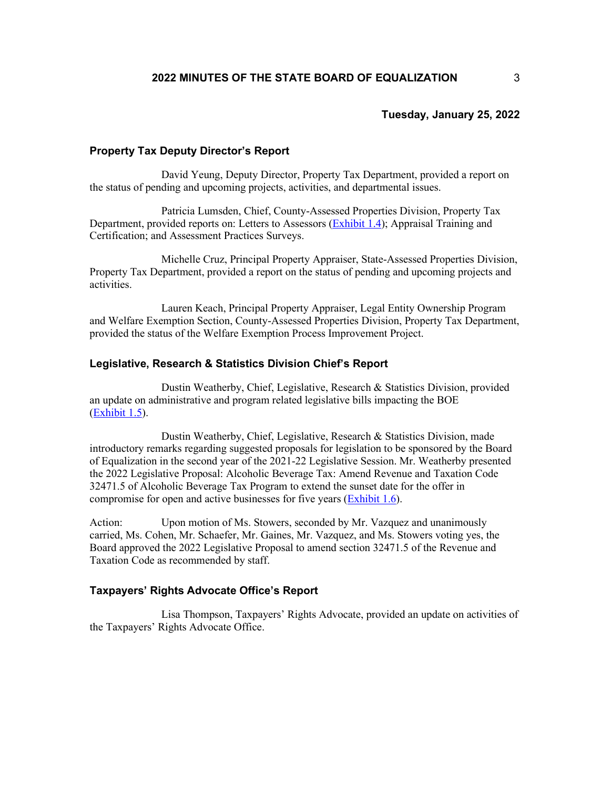#### **Property Tax Deputy Director's Report**

David Yeung, Deputy Director, Property Tax Department, provided a report on the status of pending and upcoming projects, activities, and departmental issues.

Patricia Lumsden, Chief, County-Assessed Properties Division, Property Tax Department, provided reports on: Letters to Assessors [\(Exhibit](https://boe.ca.gov/meetings/pdf/2022/012522-K3a-LTA-Update.pdf) 1.4); Appraisal Training and Certification; and Assessment Practices Surveys.

Michelle Cruz, Principal Property Appraiser, State-Assessed Properties Division, Property Tax Department, provided a report on the status of pending and upcoming projects and activities.

Lauren Keach, Principal Property Appraiser, Legal Entity Ownership Program and Welfare Exemption Section, County-Assessed Properties Division, Property Tax Department, provided the status of the Welfare Exemption Process Improvement Project.

## **Legislative, Research & Statistics Division Chief's Report**

Dustin Weatherby, Chief, Legislative, Research & Statistics Division, provided an update on administrative and program related legislative bills impacting the BOE [\(Exhibit](https://www.boe.ca.gov/meetings/pdf/2022/012522-K4a-Leg-Update.pdf) 1.5).

Dustin Weatherby, Chief, Legislative, Research & Statistics Division, made introductory remarks regarding suggested proposals for legislation to be sponsored by the Board of Equalization in the second year of the 2021-22 Legislative Session. Mr. Weatherby presented the 2022 Legislative Proposal: Alcoholic Beverage Tax: Amend Revenue and Taxation Code 32471.5 of Alcoholic Beverage Tax Program to extend the sunset date for the offer in compromise for open and active businesses for five years [\(Exhibit](https://www.boe.ca.gov/meetings/pdf/2022/012522-K4c1-Leg-Proposal.pdf) 1.6).

Action: Upon motion of Ms. Stowers, seconded by Mr. Vazquez and unanimously carried, Ms. Cohen, Mr. Schaefer, Mr. Gaines, Mr. Vazquez, and Ms. Stowers voting yes, the Board approved the 2022 Legislative Proposal to amend section 32471.5 of the Revenue and Taxation Code as recommended by staff.

## **Taxpayers' Rights Advocate Office's Report**

Lisa Thompson, Taxpayers' Rights Advocate, provided an update on activities of the Taxpayers' Rights Advocate Office.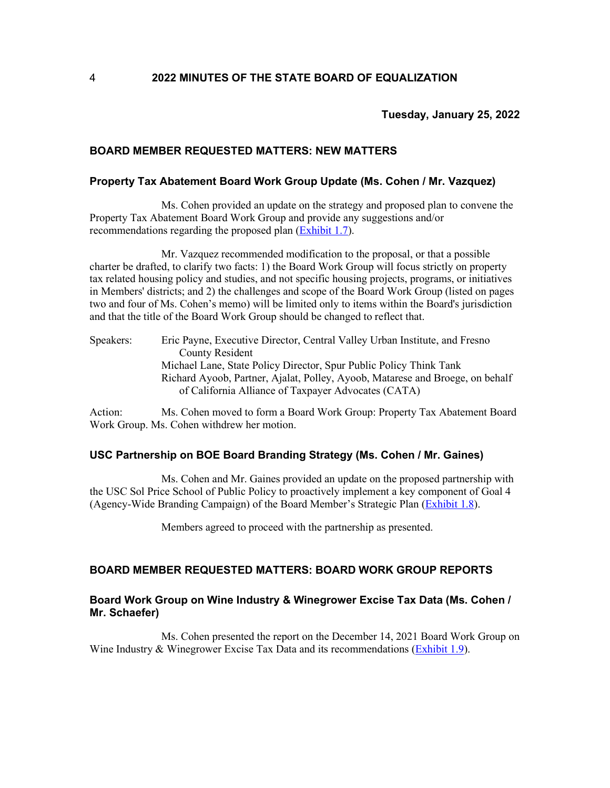## **BOARD MEMBER REQUESTED MATTERS: NEW MATTERS**

### **Property Tax Abatement Board Work Group Update (Ms. Cohen / Mr. Vazquez)**

Ms. Cohen provided an update on the strategy and proposed plan to convene the Property Tax Abatement Board Work Group and provide any suggestions and/or recommendations regarding the proposed plan [\(Exhibit](https://www.boe.ca.gov/meetings/pdf/2022/012522-L1a-PT-Abatement.pdf) 1.7).

Mr. Vazquez recommended modification to the proposal, or that a possible charter be drafted, to clarify two facts: 1) the Board Work Group will focus strictly on property tax related housing policy and studies, and not specific housing projects, programs, or initiatives in Members' districts; and 2) the challenges and scope of the Board Work Group (listed on pages two and four of Ms. Cohen's memo) will be limited only to items within the Board's jurisdiction and that the title of the Board Work Group should be changed to reflect that.

Speakers: Eric Payne, Executive Director, Central Valley Urban Institute, and Fresno County Resident Michael Lane, State Policy Director, Spur Public Policy Think Tank Richard Ayoob, Partner, Ajalat, Polley, Ayoob, Matarese and Broege, on behalf of California Alliance of Taxpayer Advocates (CATA)

Action: Ms. Cohen moved to form a Board Work Group: Property Tax Abatement Board Work Group. Ms. Cohen withdrew her motion.

### **USC Partnership on BOE Board Branding Strategy (Ms. Cohen / Mr. Gaines)**

Ms. Cohen and Mr. Gaines provided an update on the proposed partnership with the USC Sol Price School of Public Policy to proactively implement a key component of Goal 4 (Agency-Wide Branding Campaign) of the Board Member's Strategic Plan [\(Exhibit](https://www.boe.ca.gov/meetings/pdf/2022/012522-L1b-USC.pdf) 1.8).

Members agreed to proceed with the partnership as presented.

# **BOARD MEMBER REQUESTED MATTERS: BOARD WORK GROUP REPORTS**

# **Board Work Group on Wine Industry & Winegrower Excise Tax Data (Ms. Cohen / Mr. Schaefer)**

Ms. Cohen presented the report on the December 14, 2021 Board Work Group on Wine Industry & Winegrower Excise Tax Data and its recommendations [\(Exhibit](https://www.boe.ca.gov/meetings/pdf/2022/012522-L3a-BWG-Wine-Report-121421.pdf) 1.9).

4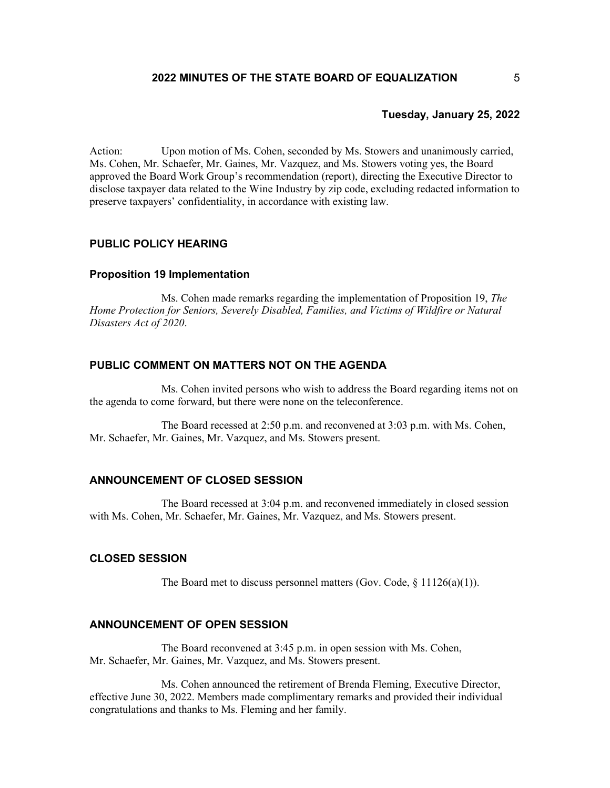Action: Upon motion of Ms. Cohen, seconded by Ms. Stowers and unanimously carried, Ms. Cohen, Mr. Schaefer, Mr. Gaines, Mr. Vazquez, and Ms. Stowers voting yes, the Board approved the Board Work Group's recommendation (report), directing the Executive Director to disclose taxpayer data related to the Wine Industry by zip code, excluding redacted information to preserve taxpayers' confidentiality, in accordance with existing law.

## **PUBLIC POLICY HEARING**

### **Proposition 19 Implementation**

Ms. Cohen made remarks regarding the implementation of Proposition 19, *The Home Protection for Seniors, Severely Disabled, Families, and Victims of Wildfire or Natural Disasters Act of 2020*.

#### **PUBLIC COMMENT ON MATTERS NOT ON THE AGENDA**

Ms. Cohen invited persons who wish to address the Board regarding items not on the agenda to come forward, but there were none on the teleconference.

The Board recessed at 2:50 p.m. and reconvened at 3:03 p.m. with Ms. Cohen, Mr. Schaefer, Mr. Gaines, Mr. Vazquez, and Ms. Stowers present.

### **ANNOUNCEMENT OF CLOSED SESSION**

The Board recessed at 3:04 p.m. and reconvened immediately in closed session with Ms. Cohen, Mr. Schaefer, Mr. Gaines, Mr. Vazquez, and Ms. Stowers present.

## **CLOSED SESSION**

The Board met to discuss personnel matters (Gov. Code,  $\S 11126(a)(1)$ ).

# **ANNOUNCEMENT OF OPEN SESSION**

The Board reconvened at 3:45 p.m. in open session with Ms. Cohen, Mr. Schaefer, Mr. Gaines, Mr. Vazquez, and Ms. Stowers present.

Ms. Cohen announced the retirement of Brenda Fleming, Executive Director, effective June 30, 2022. Members made complimentary remarks and provided their individual congratulations and thanks to Ms. Fleming and her family.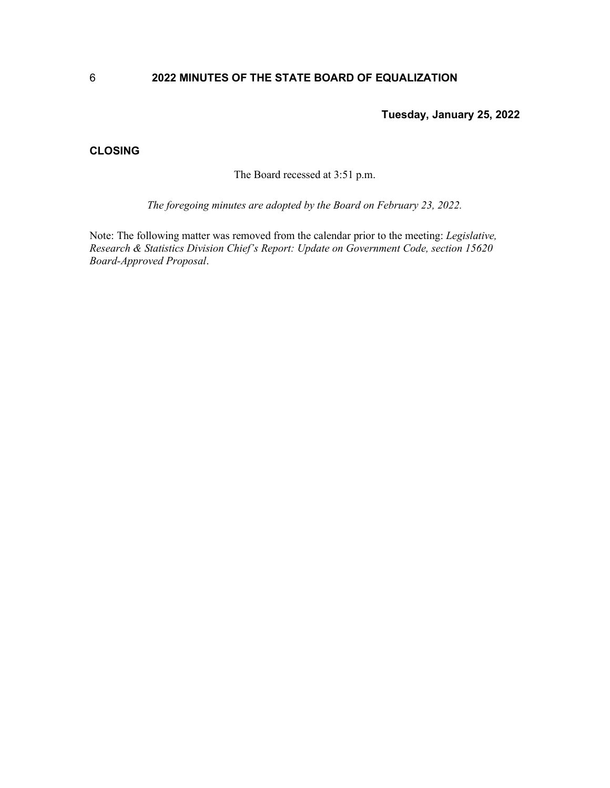# **2022 MINUTES OF THE STATE BOARD OF EQUALIZATION**

**Tuesday, January 25, 2022**

# **CLOSING**

The Board recessed at 3:51 p.m.

*The foregoing minutes are adopted by the Board on February 23, 2022.*

Note: The following matter was removed from the calendar prior to the meeting: *Legislative, Research & Statistics Division Chief's Report: Update on Government Code, section 15620 Board-Approved Proposal*.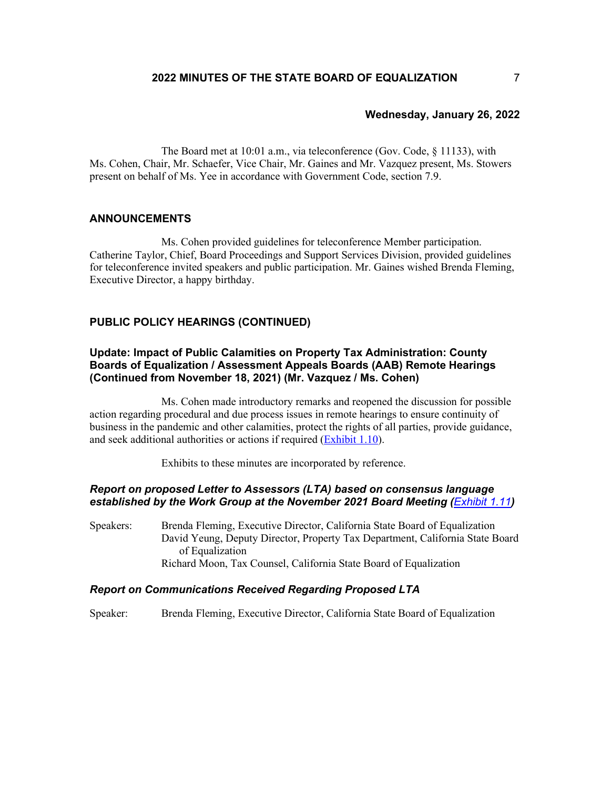# **Wednesday, January 26, 2022**

The Board met at 10:01 a.m., via teleconference (Gov. Code, § 11133), with Ms. Cohen, Chair, Mr. Schaefer, Vice Chair, Mr. Gaines and Mr. Vazquez present, Ms. Stowers present on behalf of Ms. Yee in accordance with Government Code, section 7.9.

### **ANNOUNCEMENTS**

Ms. Cohen provided guidelines for teleconference Member participation. Catherine Taylor, Chief, Board Proceedings and Support Services Division, provided guidelines for teleconference invited speakers and public participation. Mr. Gaines wished Brenda Fleming, Executive Director, a happy birthday.

# **PUBLIC POLICY HEARINGS (CONTINUED)**

# **Update: Impact of Public Calamities on Property Tax Administration: County Boards of Equalization / Assessment Appeals Boards (AAB) Remote Hearings (Continued from November 18, 2021) (Mr. Vazquez / Ms. Cohen)**

Ms. Cohen made introductory remarks and reopened the discussion for possible action regarding procedural and due process issues in remote hearings to ensure continuity of business in the pandemic and other calamities, protect the rights of all parties, provide guidance, and seek additional authorities or actions if required [\(Exhibit 1.10\)](https://www.boe.ca.gov/meetings/pdf/2022/012622-M2-AAB-Hearings-Memo.pdf).

Exhibits to these minutes are incorporated by reference.

# *Report on proposed Letter to Assessors (LTA) based on consensus language established by the Work Group at the November 2021 Board Meeting ([Exhibit](https://www.boe.ca.gov/meetings/pdf/2022/012622-M2a-Proposed-LTA-Yeung.pdf) 1.11)*

Speakers: Brenda Fleming, Executive Director, California State Board of Equalization David Yeung, Deputy Director, Property Tax Department, California State Board of Equalization Richard Moon, Tax Counsel, California State Board of Equalization

### *Report on Communications Received Regarding Proposed LTA*

Speaker: Brenda Fleming, Executive Director, California State Board of Equalization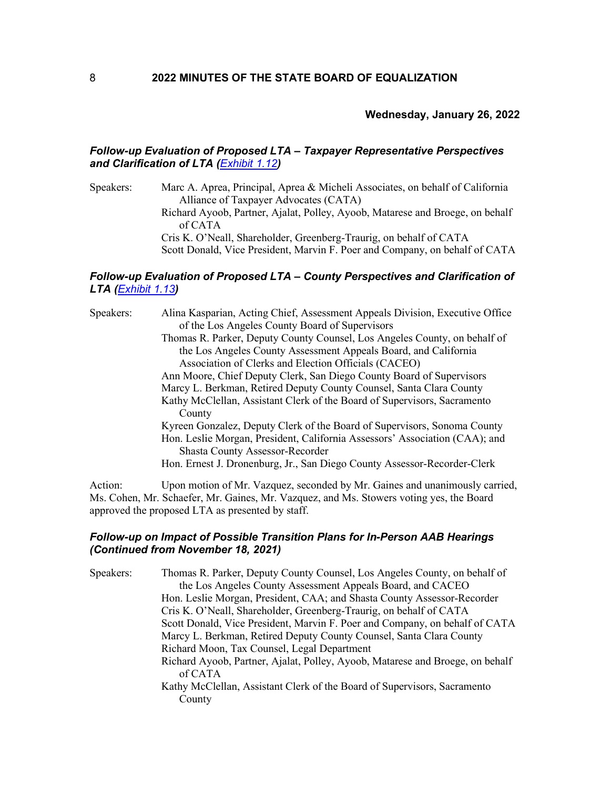# **Wednesday, January 26, 2022**

# *Follow-up Evaluation of Proposed LTA – Taxpayer Representative Perspectives and Clarification of LTA ([Exhibit](https://boe.ca.gov/meetings/pdf/2022/012622-M2c-CATA.pdf) 1.12)*

Speakers: Marc A. Aprea, Principal, Aprea & Micheli Associates, on behalf of California Alliance of Taxpayer Advocates (CATA) Richard Ayoob, Partner, Ajalat, Polley, Ayoob, Matarese and Broege, on behalf of CATA Cris K. O'Neall, Shareholder, Greenberg-Traurig, on behalf of CATA Scott Donald, Vice President, Marvin F. Poer and Company, on behalf of CATA

# *Follow-up Evaluation of Proposed LTA – County Perspectives and Clarification of LTA ([Exhibit](https://www.boe.ca.gov/meetings/pdf/2022/012622-M2d-CACEO.pdf) 1.13)*

| Speakers: | Alina Kasparian, Acting Chief, Assessment Appeals Division, Executive Office                                          |
|-----------|-----------------------------------------------------------------------------------------------------------------------|
|           | of the Los Angeles County Board of Supervisors                                                                        |
|           | Thomas R. Parker, Deputy County Counsel, Los Angeles County, on behalf of                                             |
|           | the Los Angeles County Assessment Appeals Board, and California                                                       |
|           | Association of Clerks and Election Officials (CACEO)                                                                  |
|           | Ann Moore, Chief Deputy Clerk, San Diego County Board of Supervisors                                                  |
|           | Marcy L. Berkman, Retired Deputy County Counsel, Santa Clara County                                                   |
|           | Kathy McClellan, Assistant Clerk of the Board of Supervisors, Sacramento<br>County                                    |
|           | Kyreen Gonzalez, Deputy Clerk of the Board of Supervisors, Sonoma County                                              |
|           | Hon. Leslie Morgan, President, California Assessors' Association (CAA); and<br><b>Shasta County Assessor-Recorder</b> |
|           | Hon. Ernest J. Dronenburg, Jr., San Diego County Assessor-Recorder-Clerk                                              |
|           |                                                                                                                       |

Action: Upon motion of Mr. Vazquez, seconded by Mr. Gaines and unanimously carried, Ms. Cohen, Mr. Schaefer, Mr. Gaines, Mr. Vazquez, and Ms. Stowers voting yes, the Board approved the proposed LTA as presented by staff.

# *Follow-up on Impact of Possible Transition Plans for In-Person AAB Hearings (Continued from November 18, 2021)*

| Speakers: | Thomas R. Parker, Deputy County Counsel, Los Angeles County, on behalf of                |
|-----------|------------------------------------------------------------------------------------------|
|           | the Los Angeles County Assessment Appeals Board, and CACEO                               |
|           | Hon. Leslie Morgan, President, CAA; and Shasta County Assessor-Recorder                  |
|           | Cris K. O'Neall, Shareholder, Greenberg-Traurig, on behalf of CATA                       |
|           | Scott Donald, Vice President, Marvin F. Poer and Company, on behalf of CATA              |
|           | Marcy L. Berkman, Retired Deputy County Counsel, Santa Clara County                      |
|           | Richard Moon, Tax Counsel, Legal Department                                              |
|           | Richard Ayoob, Partner, Ajalat, Polley, Ayoob, Matarese and Broege, on behalf<br>of CATA |
|           | Kathy McClellan, Assistant Clerk of the Board of Supervisors, Sacramento                 |
|           | County                                                                                   |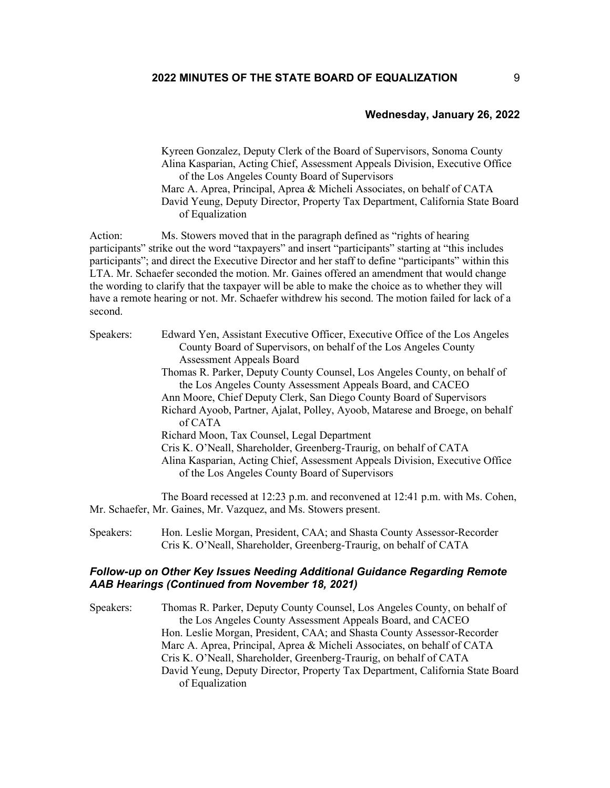## **Wednesday, January 26, 2022**

Kyreen Gonzalez, Deputy Clerk of the Board of Supervisors, Sonoma County Alina Kasparian, Acting Chief, Assessment Appeals Division, Executive Office of the Los Angeles County Board of Supervisors Marc A. Aprea, Principal, Aprea & Micheli Associates, on behalf of CATA David Yeung, Deputy Director, Property Tax Department, California State Board of Equalization

Action: Ms. Stowers moved that in the paragraph defined as "rights of hearing" participants" strike out the word "taxpayers" and insert "participants" starting at "this includes participants"; and direct the Executive Director and her staff to define "participants" within this LTA. Mr. Schaefer seconded the motion. Mr. Gaines offered an amendment that would change the wording to clarify that the taxpayer will be able to make the choice as to whether they will have a remote hearing or not. Mr. Schaefer withdrew his second. The motion failed for lack of a second.

| Speakers: | Edward Yen, Assistant Executive Officer, Executive Office of the Los Angeles                                                   |
|-----------|--------------------------------------------------------------------------------------------------------------------------------|
|           | County Board of Supervisors, on behalf of the Los Angeles County                                                               |
|           | <b>Assessment Appeals Board</b>                                                                                                |
|           | Thomas R. Parker, Deputy County Counsel, Los Angeles County, on behalf of                                                      |
|           | the Los Angeles County Assessment Appeals Board, and CACEO                                                                     |
|           | Ann Moore, Chief Deputy Clerk, San Diego County Board of Supervisors                                                           |
|           | Richard Ayoob, Partner, Ajalat, Polley, Ayoob, Matarese and Broege, on behalf<br>of CATA                                       |
|           | Richard Moon, Tax Counsel, Legal Department                                                                                    |
|           | Cris K. O'Neall, Shareholder, Greenberg-Traurig, on behalf of CATA                                                             |
|           | Alina Kasparian, Acting Chief, Assessment Appeals Division, Executive Office<br>of the Los Angeles County Board of Supervisors |
|           |                                                                                                                                |

The Board recessed at 12:23 p.m. and reconvened at 12:41 p.m. with Ms. Cohen, Mr. Schaefer, Mr. Gaines, Mr. Vazquez, and Ms. Stowers present.

Speakers: Hon. Leslie Morgan, President, CAA; and Shasta County Assessor-Recorder Cris K. O'Neall, Shareholder, Greenberg-Traurig, on behalf of CATA

## *Follow-up on Other Key Issues Needing Additional Guidance Regarding Remote AAB Hearings (Continued from November 18, 2021)*

Speakers: Thomas R. Parker, Deputy County Counsel, Los Angeles County, on behalf of the Los Angeles County Assessment Appeals Board, and CACEO Hon. Leslie Morgan, President, CAA; and Shasta County Assessor-Recorder Marc A. Aprea, Principal, Aprea & Micheli Associates, on behalf of CATA Cris K. O'Neall, Shareholder, Greenberg-Traurig, on behalf of CATA David Yeung, Deputy Director, Property Tax Department, California State Board of Equalization